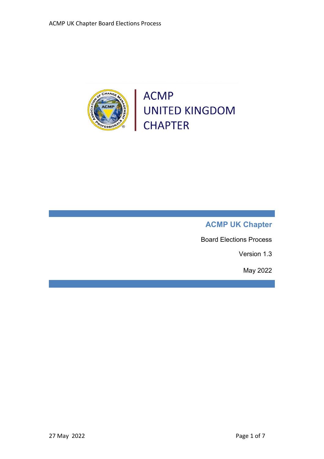

**ACMP** UNITED KINGDOM<br>CHAPTER

# **ACMP UK Chapter**

Board Elections Process

Version 1.3

May 2022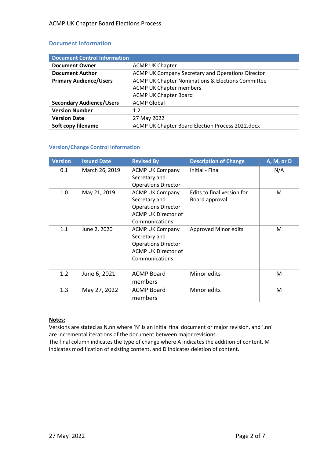#### **Document Information**

| <b>Document Control Information</b> |                                                   |  |  |  |
|-------------------------------------|---------------------------------------------------|--|--|--|
| <b>Document Owner</b>               | <b>ACMP UK Chapter</b>                            |  |  |  |
| <b>Document Author</b>              | ACMP UK Company Secretary and Operations Director |  |  |  |
| <b>Primary Audience/Users</b>       | ACMP UK Chapter Nominations & Elections Committee |  |  |  |
|                                     | <b>ACMP UK Chapter members</b>                    |  |  |  |
|                                     | <b>ACMP UK Chapter Board</b>                      |  |  |  |
| <b>Secondary Audience/Users</b>     | <b>ACMP Global</b>                                |  |  |  |
| <b>Version Number</b>               | 1.2                                               |  |  |  |
| <b>Version Date</b>                 | 27 May 2022                                       |  |  |  |
| Soft copy filename                  | ACMP UK Chapter Board Election Process 2022.docx  |  |  |  |

#### **Version/Change Control Information**

| <b>Version</b> | <b>Issued Date</b> | <b>Revised By</b>          | <b>Description of Change</b> | A, M, or D |
|----------------|--------------------|----------------------------|------------------------------|------------|
| 0.1            | March 26, 2019     | <b>ACMP UK Company</b>     | Initial - Final              | N/A        |
|                |                    | Secretary and              |                              |            |
|                |                    | <b>Operations Director</b> |                              |            |
| 1.0            | May 21, 2019       | <b>ACMP UK Company</b>     | Edits to final version for   | M          |
|                |                    | Secretary and              | Board approval               |            |
|                |                    | <b>Operations Director</b> |                              |            |
|                |                    | ACMP UK Director of        |                              |            |
|                |                    | Communications             |                              |            |
| 1.1            | June 2, 2020       | <b>ACMP UK Company</b>     | Approved Minor edits         | M          |
|                |                    | Secretary and              |                              |            |
|                |                    | <b>Operations Director</b> |                              |            |
|                |                    | ACMP UK Director of        |                              |            |
|                |                    | Communications             |                              |            |
|                |                    |                            |                              |            |
| 1.2            | June 6, 2021       | <b>ACMP Board</b>          | Minor edits                  | M          |
|                |                    | members                    |                              |            |
| 1.3            | May 27, 2022       | <b>ACMP Board</b>          | Minor edits                  | M          |
|                |                    | members                    |                              |            |

#### **Notes:**

Versions are stated as N.nn where 'N' is an initial final document or major revision, and '.nn' are incremental iterations of the document between major revisions.

The final column indicates the type of change where A indicates the addition of content, M indicates modification of existing content, and D indicates deletion of content.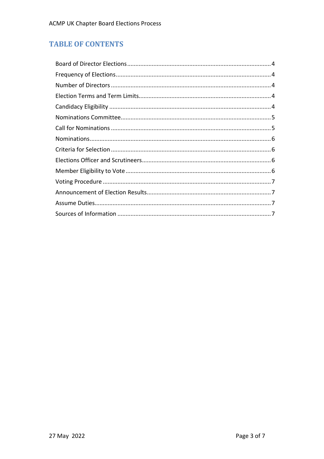# **TABLE OF CONTENTS**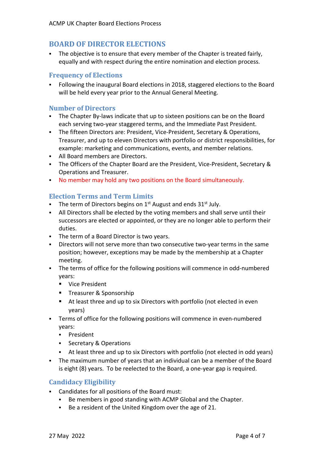# <span id="page-3-0"></span>**BOARD OF DIRECTOR ELECTIONS**

 The objective is to ensure that every member of the Chapter is treated fairly, equally and with respect during the entire nomination and election process.

#### <span id="page-3-1"></span>**Frequency of Elections**

 Following the inaugural Board elections in 2018, staggered elections to the Board will be held every year prior to the Annual General Meeting.

#### <span id="page-3-2"></span>**Number of Directors**

- The Chapter By-laws indicate that up to sixteen positions can be on the Board each serving two-year staggered terms, and the Immediate Past President.
- The fifteen Directors are: President, Vice-President, Secretary & Operations, Treasurer, and up to eleven Directors with portfolio or district responsibilities, for example: marketing and communications, events, and member relations.
- All Board members are Directors.
- The Officers of the Chapter Board are the President, Vice-President, Secretary & Operations and Treasurer.
- No member may hold any two positions on the Board simultaneously.

# <span id="page-3-3"></span>**Election Terms and Term Limits**

- The term of Directors begins on  $1<sup>st</sup>$  August and ends  $31<sup>st</sup>$  July.
- All Directors shall be elected by the voting members and shall serve until their successors are elected or appointed, or they are no longer able to perform their duties.
- The term of a Board Director is two years.
- Directors will not serve more than two consecutive two-year terms in the same position; however, exceptions may be made by the membership at a Chapter meeting.
- The terms of office for the following positions will commence in odd-numbered years:
	- **Vice President**
	- **Treasurer & Sponsorship**
	- At least three and up to six Directors with portfolio (not elected in even years)
- Terms of office for the following positions will commence in even-numbered years:
	- **President**
	- Secretary & Operations
	- At least three and up to six Directors with portfolio (not elected in odd years)
- The maximum number of years that an individual can be a member of the Board is eight (8) years. To be reelected to the Board, a one-year gap is required.

### **Candidacy Eligibility**

- <span id="page-3-4"></span> Candidates for all positions of the Board must:
	- Be members in good standing with ACMP Global and the Chapter.
	- Be a resident of the United Kingdom over the age of 21.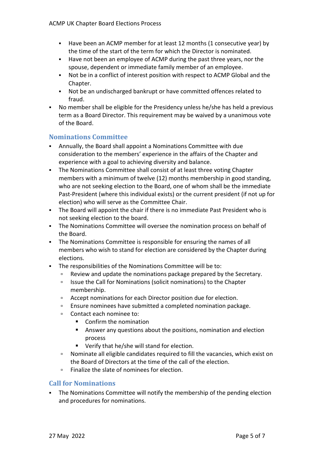- Have been an ACMP member for at least 12 months (1 consecutive year) by the time of the start of the term for which the Director is nominated.
- Have not been an employee of ACMP during the past three years, nor the spouse, dependent or immediate family member of an employee.
- Not be in a conflict of interest position with respect to ACMP Global and the Chapter.
- Not be an undischarged bankrupt or have committed offences related to fraud.
- No member shall be eligible for the Presidency unless he/she has held a previous term as a Board Director. This requirement may be waived by a unanimous vote of the Board.

# <span id="page-4-0"></span>**Nominations Committee**

- Annually, the Board shall appoint a Nominations Committee with due consideration to the members' experience in the affairs of the Chapter and experience with a goal to achieving diversity and balance.
- The Nominations Committee shall consist of at least three voting Chapter members with a minimum of twelve (12) months membership in good standing, who are not seeking election to the Board, one of whom shall be the immediate Past-President (where this individual exists) or the current president (if not up for election) who will serve as the Committee Chair.
- The Board will appoint the chair if there is no immediate Past President who is not seeking election to the board.
- The Nominations Committee will oversee the nomination process on behalf of the Board.
- The Nominations Committee is responsible for ensuring the names of all members who wish to stand for election are considered by the Chapter during elections.
- The responsibilities of the Nominations Committee will be to:
	- Review and update the nominations package prepared by the Secretary.
	- □ Issue the Call for Nominations (solicit nominations) to the Chapter membership.
	- Accept nominations for each Director position due for election.
	- Ensure nominees have submitted a completed nomination package.
	- Contact each nominee to:
		- Confirm the nomination
		- Answer any questions about the positions, nomination and election process
		- Verify that he/she will stand for election.
	- Nominate all eligible candidates required to fill the vacancies, which exist on the Board of Directors at the time of the call of the election.
	- **Finalize the slate of nominees for election.**

### <span id="page-4-1"></span>**Call for Nominations**

• The Nominations Committee will notify the membership of the pending election and procedures for nominations.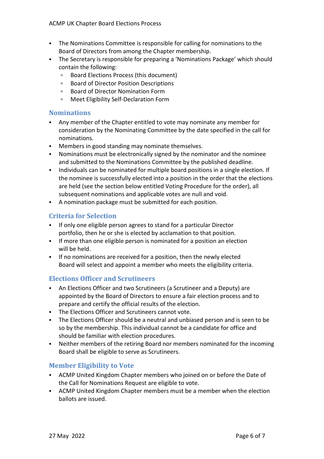- The Nominations Committee is responsible for calling for nominations to the Board of Directors from among the Chapter membership.
- The Secretary is responsible for preparing a 'Nominations Package' which should contain the following:
	- Board Elections Process (this document)
	- **Board of Director Position Descriptions**
	- Board of Director Nomination Form
	- □ Meet Eligibility Self-Declaration Form

### <span id="page-5-0"></span>**Nominations**

- Any member of the Chapter entitled to vote may nominate any member for consideration by the Nominating Committee by the date specified in the call for nominations.
- **Members in good standing may nominate themselves.**
- Nominations must be electronically signed by the nominator and the nominee and submitted to the Nominations Committee by the published deadline.
- Individuals can be nominated for multiple board positions in a single election. If the nominee is successfully elected into a position in the order that the elections are held (see the section below entitled Voting Procedure for the order), all subsequent nominations and applicable votes are null and void.
- A nomination package must be submitted for each position.

# <span id="page-5-1"></span>**Criteria for Selection**

- If only one eligible person agrees to stand for a particular Director portfolio, then he or she is elected by acclamation to that position.
- **If more than one eligible person is nominated for a position an election** will be held.
- If no nominations are received for a position, then the newly elected Board will select and appoint a member who meets the eligibility criteria.

### <span id="page-5-2"></span>**Elections Officer and Scrutineers**

- An Elections Officer and two Scrutineers (a Scrutineer and a Deputy) are appointed by the Board of Directors to ensure a fair election process and to prepare and certify the official results of the election.
- **The Elections Officer and Scrutineers cannot vote.**
- The Elections Officer should be a neutral and unbiased person and is seen to be so by the membership. This individual cannot be a candidate for office and should be familiar with election procedures.
- <span id="page-5-3"></span> Neither members of the retiring Board nor members nominated for the incoming Board shall be eligible to serve as Scrutineers.

# **Member Eligibility to Vote**

- ACMP United Kingdom Chapter members who joined on or before the Date of the Call for Nominations Request are eligible to vote.
- ACMP United Kingdom Chapter members must be a member when the election ballots are issued.